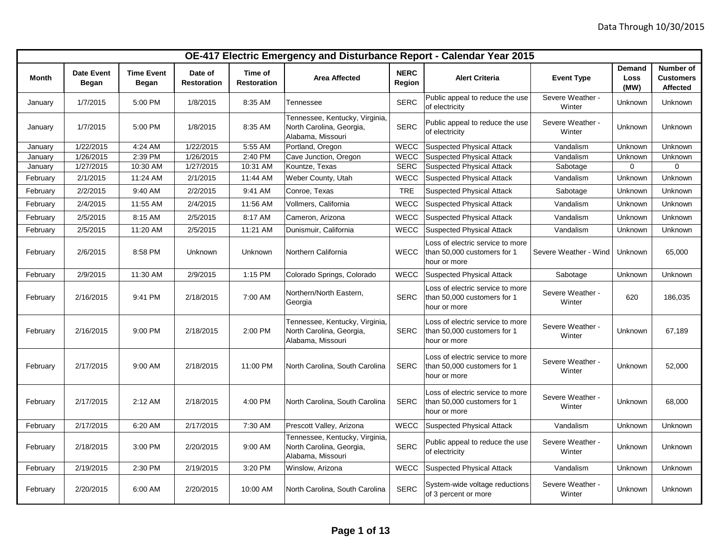|          | OE-417 Electric Emergency and Disturbance Report - Calendar Year 2015 |                            |                               |                               |                                                                                 |                       |                                                                                 |                            |                        |                                           |
|----------|-----------------------------------------------------------------------|----------------------------|-------------------------------|-------------------------------|---------------------------------------------------------------------------------|-----------------------|---------------------------------------------------------------------------------|----------------------------|------------------------|-------------------------------------------|
| Month    | <b>Date Event</b><br>Began                                            | <b>Time Event</b><br>Began | Date of<br><b>Restoration</b> | Time of<br><b>Restoration</b> | <b>Area Affected</b>                                                            | <b>NERC</b><br>Region | <b>Alert Criteria</b>                                                           | <b>Event Type</b>          | Demand<br>Loss<br>(MW) | Number of<br><b>Customers</b><br>Affected |
| January  | 1/7/2015                                                              | 5:00 PM                    | 1/8/2015                      | 8:35 AM                       | Tennessee                                                                       | <b>SERC</b>           | Public appeal to reduce the use<br>of electricity                               | Severe Weather -<br>Winter | Unknown                | Unknown                                   |
| January  | 1/7/2015                                                              | 5:00 PM                    | 1/8/2015                      | 8:35 AM                       | Tennessee, Kentucky, Virginia,<br>North Carolina, Georgia,<br>Alabama, Missouri | <b>SERC</b>           | Public appeal to reduce the use<br>of electricity                               | Severe Weather -<br>Winter | Unknown                | Unknown                                   |
| January  | 1/22/2015                                                             | 4:24 AM                    | 1/22/2015                     | 5:55 AM                       | Portland, Oregon                                                                | <b>WECC</b>           | <b>Suspected Physical Attack</b>                                                | Vandalism                  | Unknown                | Unknown                                   |
| January  | 1/26/2015                                                             | 2:39 PM                    | 1/26/2015                     | 2:40 PM                       | Cave Junction, Oregon                                                           | <b>WECC</b>           | <b>Suspected Physical Attack</b>                                                | Vandalism                  | Unknown                | Unknown                                   |
| January  | 1/27/2015                                                             | 10:30 AM                   | 1/27/2015                     | 10:31 AM                      | Kountze, Texas                                                                  | <b>SERC</b>           | <b>Suspected Physical Attack</b>                                                | Sabotage                   | 0                      | $\Omega$                                  |
| February | 2/1/2015                                                              | 11:24 AM                   | 2/1/2015                      | 11:44 AM                      | Weber County, Utah                                                              | <b>WECC</b>           | <b>Suspected Physical Attack</b>                                                | Vandalism                  | Unknown                | Unknown                                   |
| February | 2/2/2015                                                              | 9:40 AM                    | 2/2/2015                      | 9:41 AM                       | Conroe, Texas                                                                   | <b>TRE</b>            | <b>Suspected Physical Attack</b>                                                | Sabotage                   | Unknown                | Unknown                                   |
| February | 2/4/2015                                                              | 11:55 AM                   | 2/4/2015                      | 11:56 AM                      | Vollmers, California                                                            | <b>WECC</b>           | <b>Suspected Physical Attack</b>                                                | Vandalism                  | Unknown                | Unknown                                   |
| February | 2/5/2015                                                              | 8:15 AM                    | 2/5/2015                      | 8:17 AM                       | Cameron, Arizona                                                                | <b>WECC</b>           | <b>Suspected Physical Attack</b>                                                | Vandalism                  | Unknown                | Unknown                                   |
| February | 2/5/2015                                                              | 11:20 AM                   | 2/5/2015                      | 11:21 AM                      | Dunismuir, California                                                           | <b>WECC</b>           | <b>Suspected Physical Attack</b>                                                | Vandalism                  | Unknown                | Unknown                                   |
| February | 2/6/2015                                                              | 8:58 PM                    | Unknown                       | Unknown                       | Northern California                                                             | <b>WECC</b>           | Loss of electric service to more<br>than 50,000 customers for 1<br>hour or more | Severe Weather - Wind      | Unknown                | 65,000                                    |
| February | 2/9/2015                                                              | 11:30 AM                   | 2/9/2015                      | 1:15 PM                       | Colorado Springs, Colorado                                                      | <b>WECC</b>           | <b>Suspected Physical Attack</b>                                                | Sabotage                   | Unknown                | Unknown                                   |
| February | 2/16/2015                                                             | 9:41 PM                    | 2/18/2015                     | 7:00 AM                       | Northern/North Eastern,<br>Georgia                                              | <b>SERC</b>           | Loss of electric service to more<br>than 50,000 customers for 1<br>hour or more | Severe Weather -<br>Winter | 620                    | 186,035                                   |
| February | 2/16/2015                                                             | 9:00 PM                    | 2/18/2015                     | 2:00 PM                       | Tennessee, Kentucky, Virginia,<br>North Carolina, Georgia,<br>Alabama, Missouri | <b>SERC</b>           | Loss of electric service to more<br>than 50,000 customers for 1<br>hour or more | Severe Weather -<br>Winter | Unknown                | 67,189                                    |
| February | 2/17/2015                                                             | 9:00 AM                    | 2/18/2015                     | 11:00 PM                      | North Carolina, South Carolina                                                  | <b>SERC</b>           | Loss of electric service to more<br>than 50,000 customers for 1<br>hour or more | Severe Weather -<br>Winter | Unknown                | 52,000                                    |
| February | 2/17/2015                                                             | $2:12$ AM                  | 2/18/2015                     | 4:00 PM                       | North Carolina, South Carolina                                                  | <b>SERC</b>           | Loss of electric service to more<br>than 50,000 customers for 1<br>hour or more | Severe Weather -<br>Winter | Unknown                | 68,000                                    |
| February | 2/17/2015                                                             | 6:20 AM                    | 2/17/2015                     | 7:30 AM                       | Prescott Valley, Arizona                                                        | <b>WECC</b>           | <b>Suspected Physical Attack</b>                                                | Vandalism                  | Unknown                | Unknown                                   |
| February | 2/18/2015                                                             | 3:00 PM                    | 2/20/2015                     | 9:00 AM                       | Tennessee, Kentucky, Virginia<br>North Carolina, Georgia,<br>Alabama, Missouri  | <b>SERC</b>           | Public appeal to reduce the use<br>of electricity                               | Severe Weather -<br>Winter | Unknown                | Unknown                                   |
| February | 2/19/2015                                                             | 2:30 PM                    | 2/19/2015                     | 3:20 PM                       | Winslow, Arizona                                                                | WECC                  | <b>Suspected Physical Attack</b>                                                | Vandalism                  | Unknown                | Unknown                                   |
| February | 2/20/2015                                                             | 6:00 AM                    | 2/20/2015                     | 10:00 AM                      | North Carolina, South Carolina                                                  | <b>SERC</b>           | System-wide voltage reductions<br>of 3 percent or more                          | Severe Weather -<br>Winter | Unknown                | Unknown                                   |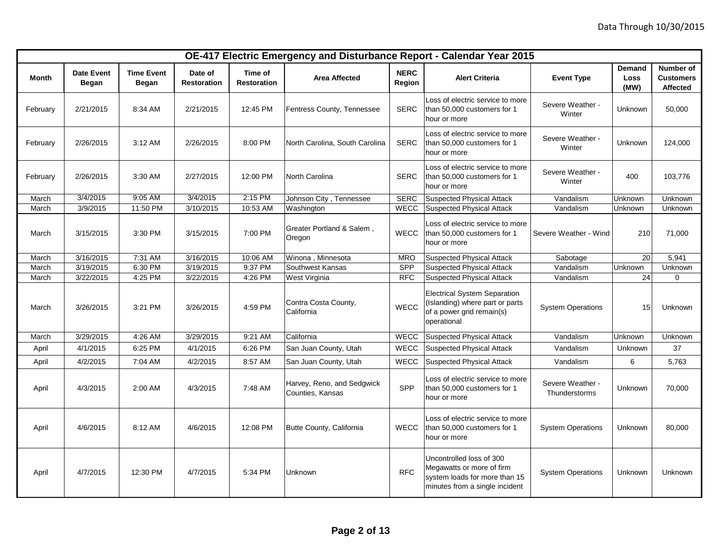|              |                                   |                            |                               |                               |                                                |                       | OE-417 Electric Emergency and Disturbance Report - Calendar Year 2015                                                    |                                   |                               |                                                  |
|--------------|-----------------------------------|----------------------------|-------------------------------|-------------------------------|------------------------------------------------|-----------------------|--------------------------------------------------------------------------------------------------------------------------|-----------------------------------|-------------------------------|--------------------------------------------------|
| <b>Month</b> | <b>Date Event</b><br><b>Began</b> | <b>Time Event</b><br>Began | Date of<br><b>Restoration</b> | Time of<br><b>Restoration</b> | <b>Area Affected</b>                           | <b>NERC</b><br>Region | <b>Alert Criteria</b>                                                                                                    | <b>Event Type</b>                 | <b>Demand</b><br>Loss<br>(MW) | Number of<br><b>Customers</b><br><b>Affected</b> |
| February     | 2/21/2015                         | 8:34 AM                    | 2/21/2015                     | 12:45 PM                      | Fentress County, Tennessee                     | <b>SERC</b>           | Loss of electric service to more<br>than 50,000 customers for 1<br>hour or more                                          | Severe Weather -<br>Winter        | Unknown                       | 50,000                                           |
| February     | 2/26/2015                         | 3:12 AM                    | 2/26/2015                     | 8:00 PM                       | North Carolina, South Carolina                 | <b>SERC</b>           | Loss of electric service to more<br>than 50,000 customers for 1<br>hour or more                                          | Severe Weather -<br>Winter        | Unknown                       | 124,000                                          |
| February     | 2/26/2015                         | 3:30 AM                    | 2/27/2015                     | 12:00 PM                      | North Carolina                                 | <b>SERC</b>           | Loss of electric service to more<br>than 50,000 customers for 1<br>hour or more                                          | Severe Weather -<br>Winter        | 400                           | 103,776                                          |
| March        | 3/4/2015                          | $9:05$ AM                  | 3/4/2015                      | 2:15 PM                       | Johnson City, Tennessee                        | <b>SERC</b>           | <b>Suspected Physical Attack</b>                                                                                         | Vandalism                         | Unknown                       | Unknown                                          |
| March        | 3/9/2015                          | 11:50 PM                   | 3/10/2015                     | 10:53 AM                      | Washington                                     | <b>WECC</b>           | <b>Suspected Physical Attack</b>                                                                                         | Vandalism                         | Unknown                       | Unknown                                          |
| March        | 3/15/2015                         | 3:30 PM                    | 3/15/2015                     | 7:00 PM                       | Greater Portland & Salem,<br>Oregon            | <b>WECC</b>           | Loss of electric service to more<br>than 50,000 customers for 1<br>hour or more                                          | Severe Weather - Wind             | 210                           | 71,000                                           |
| March        | 3/16/2015                         | 7:31 AM                    | 3/16/2015                     | 10:06 AM                      | Winona, Minnesota                              | <b>MRO</b>            | <b>Suspected Physical Attack</b>                                                                                         | Sabotage                          | 20 <sup>1</sup>               | 5,941                                            |
| March        | 3/19/2015                         | 6:30 PM                    | 3/19/2015                     | 9:37 PM                       | Southwest Kansas                               | <b>SPP</b>            | <b>Suspected Physical Attack</b>                                                                                         | Vandalism                         | Unknown                       | Unknown                                          |
| March        | 3/22/2015                         | 4:25 PM                    | 3/22/2015                     | 4:26 PM                       | West Virginia                                  | <b>RFC</b>            | <b>Suspected Physical Attack</b>                                                                                         | Vandalism                         | 24                            | 0                                                |
| March        | 3/26/2015                         | 3:21 PM                    | 3/26/2015                     | 4:59 PM                       | Contra Costa County,<br>California             | <b>WECC</b>           | <b>Electrical System Separation</b><br>(Islanding) where part or parts<br>of a power grid remain(s)<br>operational       | <b>System Operations</b>          | 15                            | Unknown                                          |
| March        | 3/29/2015                         | 4:26 AM                    | 3/29/2015                     | 9:21 AM                       | California                                     | WECC                  | <b>Suspected Physical Attack</b>                                                                                         | Vandalism                         | Unknown                       | Unknown                                          |
| April        | 4/1/2015                          | 6:25 PM                    | 4/1/2015                      | 6:26 PM                       | San Juan County, Utah                          | WECC                  | <b>Suspected Physical Attack</b>                                                                                         | Vandalism                         | Unknown                       | 37                                               |
| April        | 4/2/2015                          | 7:04 AM                    | 4/2/2015                      | 8:57 AM                       | San Juan County, Utah                          | <b>WECC</b>           | <b>Suspected Physical Attack</b>                                                                                         | Vandalism                         | 6                             | 5,763                                            |
| April        | 4/3/2015                          | 2:00 AM                    | 4/3/2015                      | 7:48 AM                       | Harvey, Reno, and Sedgwick<br>Counties, Kansas | <b>SPP</b>            | Loss of electric service to more<br>than 50,000 customers for 1<br>hour or more                                          | Severe Weather -<br>Thunderstorms | Unknown                       | 70,000                                           |
| April        | 4/6/2015                          | 8:12 AM                    | 4/6/2015                      | 12:08 PM                      | Butte County, California                       | <b>WECC</b>           | Loss of electric service to more<br>than 50,000 customers for 1<br>hour or more                                          | <b>System Operations</b>          | Unknown                       | 80,000                                           |
| April        | 4/7/2015                          | 12:30 PM                   | 4/7/2015                      | 5:34 PM                       | Unknown                                        | <b>RFC</b>            | Uncontrolled loss of 300<br>Megawatts or more of firm<br>system loads for more than 15<br>minutes from a single incident | <b>System Operations</b>          | Unknown                       | Unknown                                          |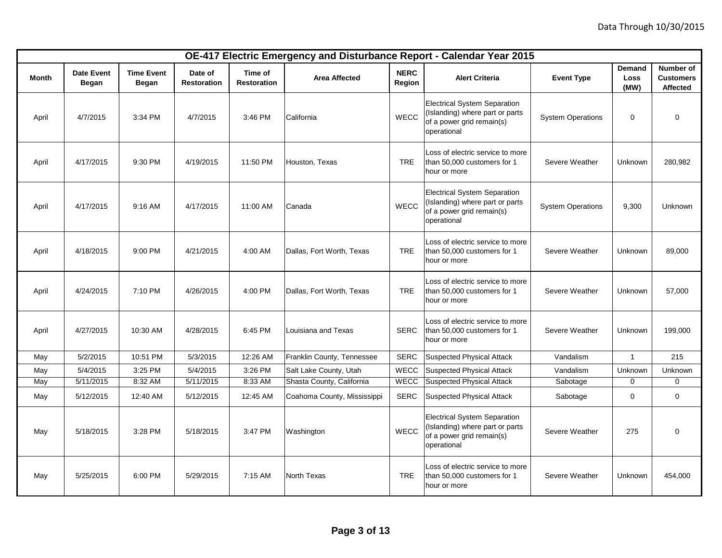|       | OE-417 Electric Emergency and Disturbance Report - Calendar Year 2015<br><b>Demand</b><br>Number of |                            |                               |                               |                             |                       |                                                                                                                    |                          |              |                              |
|-------|-----------------------------------------------------------------------------------------------------|----------------------------|-------------------------------|-------------------------------|-----------------------------|-----------------------|--------------------------------------------------------------------------------------------------------------------|--------------------------|--------------|------------------------------|
| Month | <b>Date Event</b><br>Began                                                                          | <b>Time Event</b><br>Began | Date of<br><b>Restoration</b> | Time of<br><b>Restoration</b> | <b>Area Affected</b>        | <b>NERC</b><br>Region | <b>Alert Criteria</b>                                                                                              | <b>Event Type</b>        | Loss<br>(MW) | <b>Customers</b><br>Affected |
| April | 4/7/2015                                                                                            | 3:34 PM                    | 4/7/2015                      | 3:46 PM                       | California                  | WECC                  | <b>Electrical System Separation</b><br>(Islanding) where part or parts<br>of a power grid remain(s)<br>operational | <b>System Operations</b> | 0            | 0                            |
| April | 4/17/2015                                                                                           | 9:30 PM                    | 4/19/2015                     | 11:50 PM                      | Houston, Texas              | <b>TRE</b>            | Loss of electric service to more<br>than 50,000 customers for 1<br>hour or more                                    | Severe Weather           | Unknown      | 280,982                      |
| April | 4/17/2015                                                                                           | 9:16 AM                    | 4/17/2015                     | 11:00 AM                      | Canada                      | WECC                  | <b>Electrical System Separation</b><br>(Islanding) where part or parts<br>of a power grid remain(s)<br>operational | <b>System Operations</b> | 9,300        | Unknown                      |
| April | 4/18/2015                                                                                           | 9:00 PM                    | 4/21/2015                     | 4:00 AM                       | Dallas, Fort Worth, Texas   | <b>TRE</b>            | Loss of electric service to more<br>than 50,000 customers for 1<br>hour or more                                    | Severe Weather           | Unknown      | 89,000                       |
| April | 4/24/2015                                                                                           | 7:10 PM                    | 4/26/2015                     | 4:00 PM                       | Dallas, Fort Worth, Texas   | <b>TRE</b>            | Loss of electric service to more<br>than 50,000 customers for 1<br>hour or more                                    | Severe Weather           | Unknown      | 57,000                       |
| April | 4/27/2015                                                                                           | 10:30 AM                   | 4/28/2015                     | 6:45 PM                       | Louisiana and Texas         | <b>SERC</b>           | Loss of electric service to more<br>than 50,000 customers for 1<br>hour or more                                    | Severe Weather           | Unknown      | 199,000                      |
| May   | 5/2/2015                                                                                            | 10:51 PM                   | 5/3/2015                      | 12:26 AM                      | Franklin County, Tennessee  | <b>SERC</b>           | <b>Suspected Physical Attack</b>                                                                                   | Vandalism                | $\mathbf{1}$ | 215                          |
| May   | 5/4/2015                                                                                            | 3:25 PM                    | 5/4/2015                      | 3:26 PM                       | Salt Lake County, Utah      | WECC                  | <b>Suspected Physical Attack</b>                                                                                   | Vandalism                | Unknown      | Unknown                      |
| May   | 5/11/2015                                                                                           | 8:32 AM                    | 5/11/2015                     | 8:33 AM                       | Shasta County, California   | <b>WECC</b>           | <b>Suspected Physical Attack</b>                                                                                   | Sabotage                 | $\mathbf 0$  | 0                            |
| May   | 5/12/2015                                                                                           | 12:40 AM                   | 5/12/2015                     | 12:45 AM                      | Coahoma County, Mississippi | <b>SERC</b>           | <b>Suspected Physical Attack</b>                                                                                   | Sabotage                 | 0            | 0                            |
| May   | 5/18/2015                                                                                           | 3:28 PM                    | 5/18/2015                     | 3:47 PM                       | Washington                  | WECC                  | <b>Electrical System Separation</b><br>(Islanding) where part or parts<br>of a power grid remain(s)<br>operational | Severe Weather           | 275          | 0                            |
| May   | 5/25/2015                                                                                           | 6:00 PM                    | 5/29/2015                     | 7:15 AM                       | North Texas                 | <b>TRE</b>            | Loss of electric service to more<br>than 50,000 customers for 1<br>hour or more                                    | Severe Weather           | Unknown      | 454,000                      |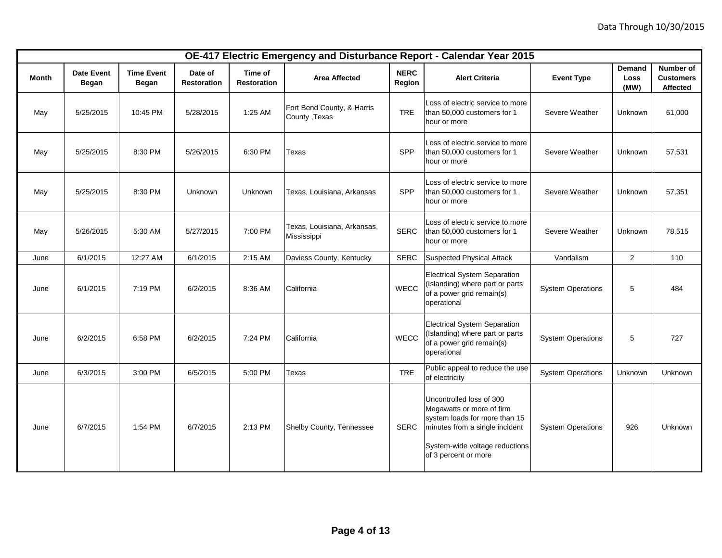|       |                                   |                                   |                               |                               |                                             |                       | OE-417 Electric Emergency and Disturbance Report - Calendar Year 2015                                                                                                              |                          |                                      |                                                  |
|-------|-----------------------------------|-----------------------------------|-------------------------------|-------------------------------|---------------------------------------------|-----------------------|------------------------------------------------------------------------------------------------------------------------------------------------------------------------------------|--------------------------|--------------------------------------|--------------------------------------------------|
| Month | <b>Date Event</b><br><b>Began</b> | <b>Time Event</b><br><b>Began</b> | Date of<br><b>Restoration</b> | Time of<br><b>Restoration</b> | <b>Area Affected</b>                        | <b>NERC</b><br>Region | <b>Alert Criteria</b>                                                                                                                                                              | <b>Event Type</b>        | <b>Demand</b><br><b>Loss</b><br>(MW) | Number of<br><b>Customers</b><br><b>Affected</b> |
| May   | 5/25/2015                         | 10:45 PM                          | 5/28/2015                     | 1:25 AM                       | Fort Bend County, & Harris<br>County, Texas | <b>TRE</b>            | Loss of electric service to more<br>than 50,000 customers for 1<br>hour or more                                                                                                    | Severe Weather           | Unknown                              | 61,000                                           |
| May   | 5/25/2015                         | 8:30 PM                           | 5/26/2015                     | 6:30 PM                       | Texas                                       | SPP                   | Loss of electric service to more<br>than 50,000 customers for 1<br>hour or more                                                                                                    | Severe Weather           | Unknown                              | 57,531                                           |
| May   | 5/25/2015                         | 8:30 PM                           | Unknown                       | Unknown                       | Texas, Louisiana, Arkansas                  | SPP                   | Loss of electric service to more<br>than 50,000 customers for 1<br>hour or more                                                                                                    | Severe Weather           | Unknown                              | 57,351                                           |
| May   | 5/26/2015                         | 5:30 AM                           | 5/27/2015                     | 7:00 PM                       | Texas, Louisiana, Arkansas,<br>Mississippi  | <b>SERC</b>           | Loss of electric service to more<br>than 50,000 customers for 1<br>hour or more                                                                                                    | Severe Weather           | Unknown                              | 78,515                                           |
| June  | 6/1/2015                          | 12:27 AM                          | 6/1/2015                      | 2:15 AM                       | Daviess County, Kentucky                    | <b>SERC</b>           | <b>Suspected Physical Attack</b>                                                                                                                                                   | Vandalism                | $\overline{2}$                       | 110                                              |
| June  | 6/1/2015                          | 7:19 PM                           | 6/2/2015                      | 8:36 AM                       | California                                  | <b>WECC</b>           | <b>Electrical System Separation</b><br>(Islanding) where part or parts<br>of a power grid remain(s)<br>operational                                                                 | <b>System Operations</b> | 5                                    | 484                                              |
| June  | 6/2/2015                          | 6:58 PM                           | 6/2/2015                      | 7:24 PM                       | California                                  | <b>WECC</b>           | <b>Electrical System Separation</b><br>(Islanding) where part or parts<br>of a power grid remain(s)<br>operational                                                                 | <b>System Operations</b> | 5                                    | 727                                              |
| June  | 6/3/2015                          | 3:00 PM                           | 6/5/2015                      | 5:00 PM                       | Texas                                       | <b>TRE</b>            | Public appeal to reduce the use<br>of electricity                                                                                                                                  | <b>System Operations</b> | Unknown                              | Unknown                                          |
| June  | 6/7/2015                          | 1:54 PM                           | 6/7/2015                      | 2:13 PM                       | Shelby County, Tennessee                    | <b>SERC</b>           | Uncontrolled loss of 300<br>Megawatts or more of firm<br>system loads for more than 15<br>minutes from a single incident<br>System-wide voltage reductions<br>of 3 percent or more | <b>System Operations</b> | 926                                  | <b>Unknown</b>                                   |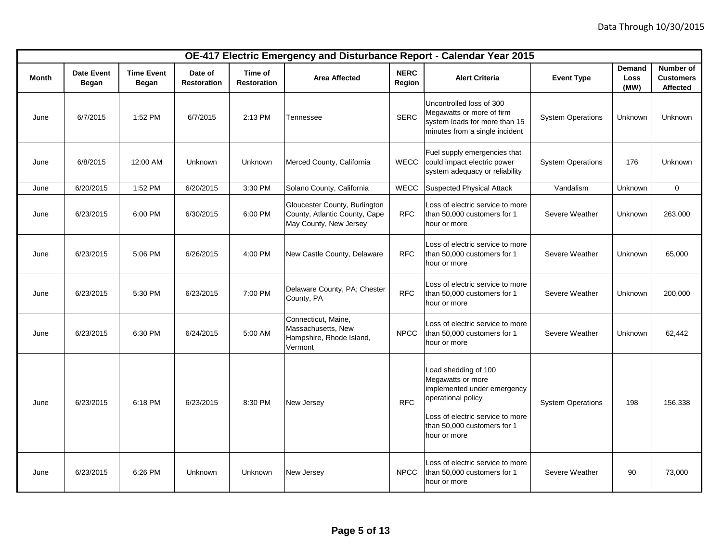|       |                            |                                   |                               |                               |                                                                                          |                       | OE-417 Electric Emergency and Disturbance Report - Calendar Year 2015                                                                                                             |                          |                               |                                           |
|-------|----------------------------|-----------------------------------|-------------------------------|-------------------------------|------------------------------------------------------------------------------------------|-----------------------|-----------------------------------------------------------------------------------------------------------------------------------------------------------------------------------|--------------------------|-------------------------------|-------------------------------------------|
| Month | <b>Date Event</b><br>Began | <b>Time Event</b><br><b>Began</b> | Date of<br><b>Restoration</b> | Time of<br><b>Restoration</b> | <b>Area Affected</b>                                                                     | <b>NERC</b><br>Region | <b>Alert Criteria</b>                                                                                                                                                             | <b>Event Type</b>        | <b>Demand</b><br>Loss<br>(MW) | Number of<br><b>Customers</b><br>Affected |
| June  | 6/7/2015                   | 1:52 PM                           | 6/7/2015                      | 2:13 PM                       | Tennessee                                                                                | <b>SERC</b>           | Uncontrolled loss of 300<br>Megawatts or more of firm<br>system loads for more than 15<br>minutes from a single incident                                                          | <b>System Operations</b> | Unknown                       | <b>Unknown</b>                            |
| June  | 6/8/2015                   | 12:00 AM                          | Unknown                       | Unknown                       | Merced County, California                                                                | <b>WECC</b>           | Fuel supply emergencies that<br>could impact electric power<br>system adequacy or reliability                                                                                     | <b>System Operations</b> | 176                           | <b>Unknown</b>                            |
| June  | 6/20/2015                  | 1:52 PM                           | 6/20/2015                     | 3:30 PM                       | Solano County, California                                                                | WECC                  | Suspected Physical Attack                                                                                                                                                         | Vandalism                | Unknown                       | $\mathbf 0$                               |
| June  | 6/23/2015                  | 6:00 PM                           | 6/30/2015                     | 6:00 PM                       | Gloucester County, Burlington<br>County, Atlantic County, Cape<br>May County, New Jersey | <b>RFC</b>            | Loss of electric service to more<br>than 50,000 customers for 1<br>hour or more                                                                                                   | Severe Weather           | Unknown                       | 263,000                                   |
| June  | 6/23/2015                  | 5:06 PM                           | 6/26/2015                     | 4:00 PM                       | New Castle County, Delaware                                                              | <b>RFC</b>            | Loss of electric service to more<br>than 50,000 customers for 1<br>hour or more                                                                                                   | Severe Weather           | Unknown                       | 65,000                                    |
| June  | 6/23/2015                  | 5:30 PM                           | 6/23/2015                     | 7:00 PM                       | Delaware County, PA; Chester<br>County, PA                                               | <b>RFC</b>            | Loss of electric service to more<br>than 50,000 customers for 1<br>hour or more                                                                                                   | Severe Weather           | Unknown                       | 200,000                                   |
| June  | 6/23/2015                  | 6:30 PM                           | 6/24/2015                     | 5:00 AM                       | Connecticut, Maine,<br>Massachusetts, New<br>Hampshire, Rhode Island,<br>Vermont         | <b>NPCC</b>           | Loss of electric service to more<br>than 50,000 customers for 1<br>hour or more                                                                                                   | Severe Weather           | Unknown                       | 62,442                                    |
| June  | 6/23/2015                  | 6:18 PM                           | 6/23/2015                     | 8:30 PM                       | New Jersey                                                                               | <b>RFC</b>            | Load shedding of 100<br>Megawatts or more<br>implemented under emergency<br>operational policy<br>Loss of electric service to more<br>than 50,000 customers for 1<br>hour or more | <b>System Operations</b> | 198                           | 156,338                                   |
| June  | 6/23/2015                  | 6:26 PM                           | Unknown                       | Unknown                       | New Jersey                                                                               | <b>NPCC</b>           | Loss of electric service to more<br>than 50,000 customers for 1<br>hour or more                                                                                                   | Severe Weather           | 90                            | 73,000                                    |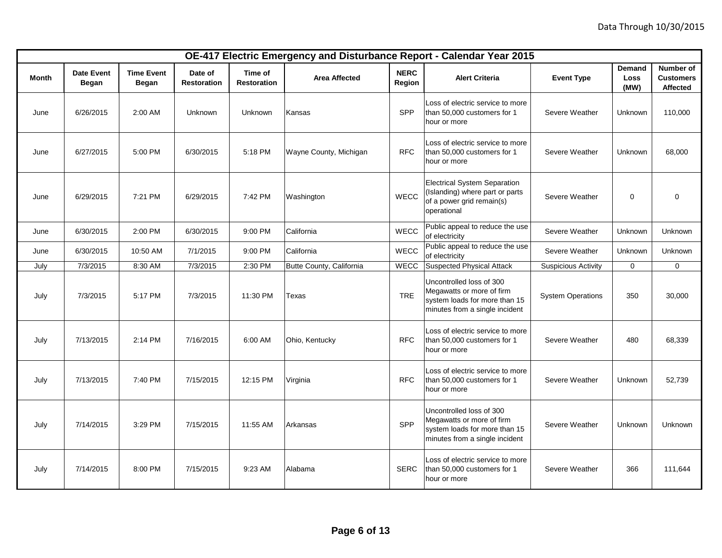|              |                            |                                   |                               |                               |                          |                       | OE-417 Electric Emergency and Disturbance Report - Calendar Year 2015                                                    |                            |                        |                                                  |
|--------------|----------------------------|-----------------------------------|-------------------------------|-------------------------------|--------------------------|-----------------------|--------------------------------------------------------------------------------------------------------------------------|----------------------------|------------------------|--------------------------------------------------|
| <b>Month</b> | <b>Date Event</b><br>Began | <b>Time Event</b><br><b>Began</b> | Date of<br><b>Restoration</b> | Time of<br><b>Restoration</b> | <b>Area Affected</b>     | <b>NERC</b><br>Region | <b>Alert Criteria</b>                                                                                                    | <b>Event Type</b>          | Demand<br>Loss<br>(MW) | Number of<br><b>Customers</b><br><b>Affected</b> |
| June         | 6/26/2015                  | 2:00 AM                           | Unknown                       | Unknown                       | Kansas                   | SPP                   | Loss of electric service to more<br>than 50,000 customers for 1<br>hour or more                                          | Severe Weather             | Unknown                | 110,000                                          |
| June         | 6/27/2015                  | 5:00 PM                           | 6/30/2015                     | 5:18 PM                       | Wayne County, Michigan   | <b>RFC</b>            | Loss of electric service to more<br>than 50,000 customers for 1<br>hour or more                                          | Severe Weather             | Unknown                | 68,000                                           |
| June         | 6/29/2015                  | 7:21 PM                           | 6/29/2015                     | 7:42 PM                       | Washington               | <b>WECC</b>           | <b>Electrical System Separation</b><br>(Islanding) where part or parts<br>of a power grid remain(s)<br>operational       | Severe Weather             | $\mathbf 0$            | 0                                                |
| June         | 6/30/2015                  | 2:00 PM                           | 6/30/2015                     | 9:00 PM                       | California               | WECC                  | Public appeal to reduce the use<br>of electricity                                                                        | Severe Weather             | Unknown                | Unknown                                          |
| June         | 6/30/2015                  | 10:50 AM                          | 7/1/2015                      | 9:00 PM                       | California               | WECC                  | Public appeal to reduce the use<br>of electricity                                                                        | Severe Weather             | Unknown                | Unknown                                          |
| July         | 7/3/2015                   | 8:30 AM                           | 7/3/2015                      | 2:30 PM                       | Butte County, California | <b>WECC</b>           | Suspected Physical Attack                                                                                                | <b>Suspicious Activity</b> | $\mathbf 0$            | 0                                                |
| July         | 7/3/2015                   | 5:17 PM                           | 7/3/2015                      | 11:30 PM                      | Texas                    | <b>TRE</b>            | Uncontrolled loss of 300<br>Megawatts or more of firm<br>system loads for more than 15<br>minutes from a single incident | <b>System Operations</b>   | 350                    | 30,000                                           |
| July         | 7/13/2015                  | 2:14 PM                           | 7/16/2015                     | 6:00 AM                       | Ohio, Kentucky           | <b>RFC</b>            | Loss of electric service to more<br>than 50,000 customers for 1<br>hour or more                                          | Severe Weather             | 480                    | 68,339                                           |
| July         | 7/13/2015                  | 7:40 PM                           | 7/15/2015                     | 12:15 PM                      | Virginia                 | <b>RFC</b>            | Loss of electric service to more<br>than 50,000 customers for 1<br>hour or more                                          | Severe Weather             | Unknown                | 52,739                                           |
| July         | 7/14/2015                  | 3:29 PM                           | 7/15/2015                     | 11:55 AM                      | Arkansas                 | SPP                   | Uncontrolled loss of 300<br>Megawatts or more of firm<br>system loads for more than 15<br>minutes from a single incident | Severe Weather             | Unknown                | <b>Unknown</b>                                   |
| July         | 7/14/2015                  | 8:00 PM                           | 7/15/2015                     | 9:23 AM                       | Alabama                  | <b>SERC</b>           | Loss of electric service to more<br>than 50,000 customers for 1<br>hour or more                                          | Severe Weather             | 366                    | 111,644                                          |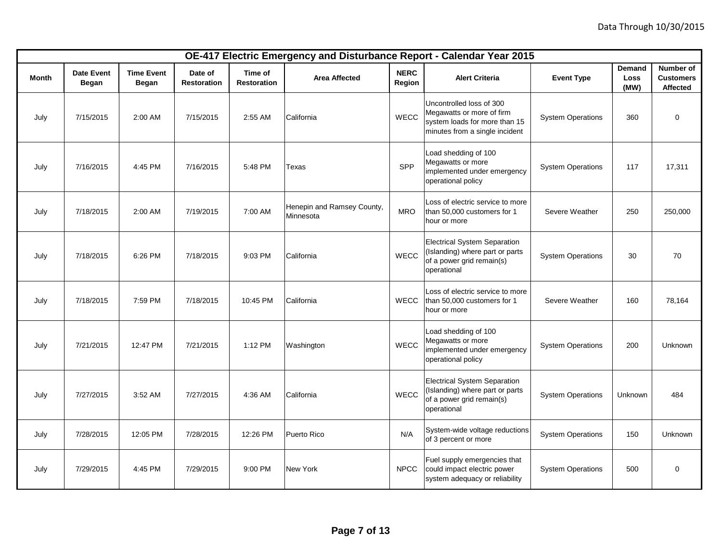|              | OE-417 Electric Emergency and Disturbance Report - Calendar Year 2015<br>Number of<br>Demand<br><b>NERC</b><br><b>Date Event</b><br><b>Time Event</b><br>Time of<br>Date of<br><b>Customers</b><br><b>Area Affected</b><br><b>Alert Criteria</b><br><b>Event Type</b><br>Loss<br><b>Restoration</b><br><b>Restoration</b> |              |           |          |                                         |             |                                                                                                                          |                          |         |                 |
|--------------|---------------------------------------------------------------------------------------------------------------------------------------------------------------------------------------------------------------------------------------------------------------------------------------------------------------------------|--------------|-----------|----------|-----------------------------------------|-------------|--------------------------------------------------------------------------------------------------------------------------|--------------------------|---------|-----------------|
| <b>Month</b> | Began                                                                                                                                                                                                                                                                                                                     | <b>Began</b> |           |          |                                         | Region      |                                                                                                                          |                          | (MW)    | <b>Affected</b> |
| July         | 7/15/2015                                                                                                                                                                                                                                                                                                                 | 2:00 AM      | 7/15/2015 | 2:55 AM  | California                              | WECC        | Uncontrolled loss of 300<br>Megawatts or more of firm<br>system loads for more than 15<br>minutes from a single incident | <b>System Operations</b> | 360     | $\mathbf 0$     |
| July         | 7/16/2015                                                                                                                                                                                                                                                                                                                 | 4:45 PM      | 7/16/2015 | 5:48 PM  | Texas                                   | SPP         | Load shedding of 100<br>Megawatts or more<br>implemented under emergency<br>operational policy                           | <b>System Operations</b> | 117     | 17,311          |
| July         | 7/18/2015                                                                                                                                                                                                                                                                                                                 | 2:00 AM      | 7/19/2015 | 7:00 AM  | Henepin and Ramsey County,<br>Minnesota | <b>MRO</b>  | Loss of electric service to more<br>than 50,000 customers for 1<br>hour or more                                          | Severe Weather           | 250     | 250,000         |
| July         | 7/18/2015                                                                                                                                                                                                                                                                                                                 | 6:26 PM      | 7/18/2015 | 9:03 PM  | California                              | WECC        | <b>Electrical System Separation</b><br>(Islanding) where part or parts<br>of a power grid remain(s)<br>operational       | <b>System Operations</b> | 30      | 70              |
| July         | 7/18/2015                                                                                                                                                                                                                                                                                                                 | 7:59 PM      | 7/18/2015 | 10:45 PM | California                              | <b>WECC</b> | Loss of electric service to more<br>than 50,000 customers for 1<br>hour or more                                          | Severe Weather           | 160     | 78,164          |
| July         | 7/21/2015                                                                                                                                                                                                                                                                                                                 | 12:47 PM     | 7/21/2015 | 1:12 PM  | Washington                              | <b>WECC</b> | Load shedding of 100<br>Megawatts or more<br>implemented under emergency<br>operational policy                           | <b>System Operations</b> | 200     | <b>Unknown</b>  |
| July         | 7/27/2015                                                                                                                                                                                                                                                                                                                 | 3:52 AM      | 7/27/2015 | 4:36 AM  | California                              | WECC        | <b>Electrical System Separation</b><br>(Islanding) where part or parts<br>of a power grid remain(s)<br>operational       | <b>System Operations</b> | Unknown | 484             |
| July         | 7/28/2015                                                                                                                                                                                                                                                                                                                 | 12:05 PM     | 7/28/2015 | 12:26 PM | Puerto Rico                             | N/A         | System-wide voltage reductions<br>of 3 percent or more                                                                   | <b>System Operations</b> | 150     | Unknown         |
| July         | 7/29/2015                                                                                                                                                                                                                                                                                                                 | 4:45 PM      | 7/29/2015 | 9:00 PM  | <b>New York</b>                         | <b>NPCC</b> | Fuel supply emergencies that<br>could impact electric power<br>system adequacy or reliability                            | <b>System Operations</b> | 500     | $\mathbf 0$     |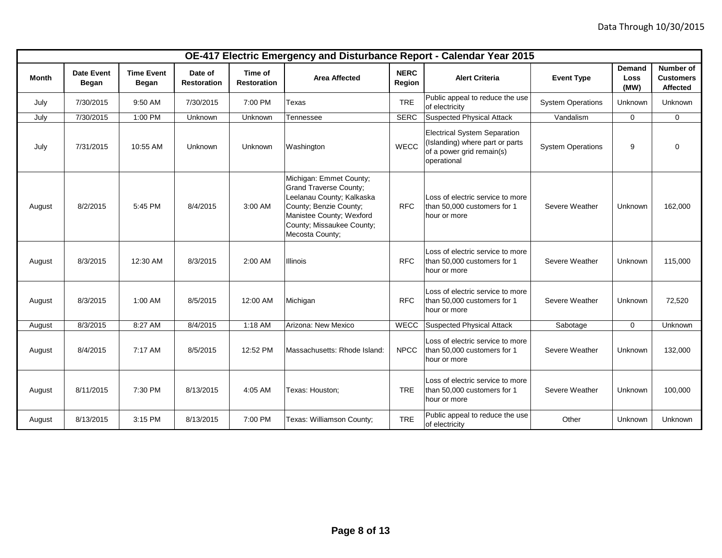|        |                            |                                   |                               |                               |                                                                                                                                                                                             |                       | OE-417 Electric Emergency and Disturbance Report - Calendar Year 2015                                              |                          |                        |                                                  |
|--------|----------------------------|-----------------------------------|-------------------------------|-------------------------------|---------------------------------------------------------------------------------------------------------------------------------------------------------------------------------------------|-----------------------|--------------------------------------------------------------------------------------------------------------------|--------------------------|------------------------|--------------------------------------------------|
| Month  | <b>Date Event</b><br>Began | <b>Time Event</b><br><b>Began</b> | Date of<br><b>Restoration</b> | Time of<br><b>Restoration</b> | <b>Area Affected</b>                                                                                                                                                                        | <b>NERC</b><br>Region | <b>Alert Criteria</b>                                                                                              | <b>Event Type</b>        | Demand<br>Loss<br>(MW) | <b>Number of</b><br><b>Customers</b><br>Affected |
| July   | 7/30/2015                  | 9:50 AM                           | 7/30/2015                     | 7:00 PM                       | Texas                                                                                                                                                                                       | <b>TRE</b>            | Public appeal to reduce the use<br>of electricity                                                                  | <b>System Operations</b> | Unknown                | <b>Unknown</b>                                   |
| July   | 7/30/2015                  | 1:00 PM                           | Unknown                       | Unknown                       | Tennessee                                                                                                                                                                                   | <b>SERC</b>           | <b>Suspected Physical Attack</b>                                                                                   | Vandalism                | 0                      | $\mathbf 0$                                      |
| July   | 7/31/2015                  | 10:55 AM                          | Unknown                       | Unknown                       | Washington                                                                                                                                                                                  | <b>WECC</b>           | <b>Electrical System Separation</b><br>(Islanding) where part or parts<br>of a power grid remain(s)<br>operational | <b>System Operations</b> | 9                      | 0                                                |
| August | 8/2/2015                   | 5:45 PM                           | 8/4/2015                      | 3:00 AM                       | Michigan: Emmet County;<br><b>Grand Traverse County;</b><br>Leelanau County; Kalkaska<br>County; Benzie County;<br>Manistee County; Wexford<br>County; Missaukee County;<br>Mecosta County; | <b>RFC</b>            | Loss of electric service to more<br>than 50,000 customers for 1<br>hour or more                                    | Severe Weather           | Unknown                | 162,000                                          |
| August | 8/3/2015                   | 12:30 AM                          | 8/3/2015                      | 2:00 AM                       | Illinois                                                                                                                                                                                    | <b>RFC</b>            | Loss of electric service to more<br>than 50,000 customers for 1<br>hour or more                                    | Severe Weather           | Unknown                | 115,000                                          |
| August | 8/3/2015                   | 1:00 AM                           | 8/5/2015                      | 12:00 AM                      | Michigan                                                                                                                                                                                    | <b>RFC</b>            | Loss of electric service to more<br>than 50,000 customers for 1<br>hour or more                                    | Severe Weather           | Unknown                | 72,520                                           |
| August | 8/3/2015                   | 8:27 AM                           | 8/4/2015                      | 1:18 AM                       | Arizona: New Mexico                                                                                                                                                                         | <b>WECC</b>           | <b>Suspected Physical Attack</b>                                                                                   | Sabotage                 | $\mathbf 0$            | Unknown                                          |
| August | 8/4/2015                   | 7:17 AM                           | 8/5/2015                      | 12:52 PM                      | Massachusetts: Rhode Island:                                                                                                                                                                | <b>NPCC</b>           | Loss of electric service to more<br>than 50,000 customers for 1<br>hour or more                                    | Severe Weather           | Unknown                | 132,000                                          |
| August | 8/11/2015                  | 7:30 PM                           | 8/13/2015                     | 4:05 AM                       | Texas: Houston;                                                                                                                                                                             | <b>TRE</b>            | Loss of electric service to more<br>than 50,000 customers for 1<br>hour or more                                    | Severe Weather           | Unknown                | 100,000                                          |
| August | 8/13/2015                  | 3:15 PM                           | 8/13/2015                     | 7:00 PM                       | Texas: Williamson County;                                                                                                                                                                   | <b>TRE</b>            | Public appeal to reduce the use<br>of electricity                                                                  | Other                    | Unknown                | Unknown                                          |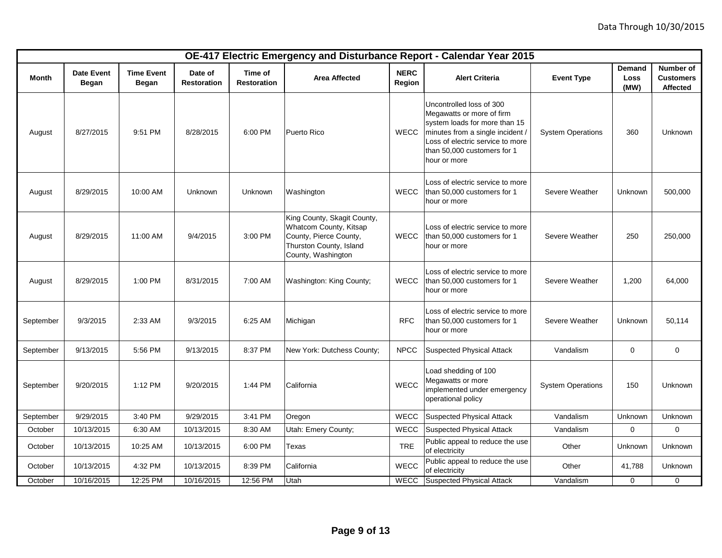|           |                            |                                   |                               |                               |                                                                                                                                  |                       | OE-417 Electric Emergency and Disturbance Report - Calendar Year 2015                                                                                                                                         |                          |                        |                                                  |
|-----------|----------------------------|-----------------------------------|-------------------------------|-------------------------------|----------------------------------------------------------------------------------------------------------------------------------|-----------------------|---------------------------------------------------------------------------------------------------------------------------------------------------------------------------------------------------------------|--------------------------|------------------------|--------------------------------------------------|
| Month     | <b>Date Event</b><br>Began | <b>Time Event</b><br><b>Began</b> | Date of<br><b>Restoration</b> | Time of<br><b>Restoration</b> | <b>Area Affected</b>                                                                                                             | <b>NERC</b><br>Region | <b>Alert Criteria</b>                                                                                                                                                                                         | <b>Event Type</b>        | Demand<br>Loss<br>(MW) | Number of<br><b>Customers</b><br><b>Affected</b> |
| August    | 8/27/2015                  | 9:51 PM                           | 8/28/2015                     | 6:00 PM                       | Puerto Rico                                                                                                                      | <b>WECC</b>           | Uncontrolled loss of 300<br>Megawatts or more of firm<br>system loads for more than 15<br>minutes from a single incident /<br>Loss of electric service to more<br>than 50,000 customers for 1<br>hour or more | <b>System Operations</b> | 360                    | Unknown                                          |
| August    | 8/29/2015                  | 10:00 AM                          | Unknown                       | Unknown                       | Washington                                                                                                                       | <b>WECC</b>           | Loss of electric service to more<br>than 50,000 customers for 1<br>hour or more                                                                                                                               | Severe Weather           | Unknown                | 500,000                                          |
| August    | 8/29/2015                  | 11:00 AM                          | 9/4/2015                      | 3:00 PM                       | King County, Skagit County,<br>Whatcom County, Kitsap<br>County, Pierce County,<br>Thurston County, Island<br>County, Washington | <b>WECC</b>           | Loss of electric service to more<br>than 50,000 customers for 1<br>hour or more                                                                                                                               | Severe Weather           | 250                    | 250,000                                          |
| August    | 8/29/2015                  | 1:00 PM                           | 8/31/2015                     | 7:00 AM                       | Washington: King County;                                                                                                         | <b>WECC</b>           | Loss of electric service to more<br>than 50,000 customers for 1<br>hour or more                                                                                                                               | Severe Weather           | 1,200                  | 64,000                                           |
| September | 9/3/2015                   | 2:33 AM                           | 9/3/2015                      | 6:25 AM                       | Michigan                                                                                                                         | <b>RFC</b>            | Loss of electric service to more<br>than 50,000 customers for 1<br>hour or more                                                                                                                               | Severe Weather           | Unknown                | 50,114                                           |
| September | 9/13/2015                  | 5:56 PM                           | 9/13/2015                     | 8:37 PM                       | New York: Dutchess County;                                                                                                       | <b>NPCC</b>           | <b>Suspected Physical Attack</b>                                                                                                                                                                              | Vandalism                | 0                      | 0                                                |
| September | 9/20/2015                  | 1:12 PM                           | 9/20/2015                     | 1:44 PM                       | California                                                                                                                       | WECC                  | Load shedding of 100<br>Megawatts or more<br>implemented under emergency<br>operational policy                                                                                                                | <b>System Operations</b> | 150                    | Unknown                                          |
| September | 9/29/2015                  | 3:40 PM                           | 9/29/2015                     | 3:41 PM                       | Oregon                                                                                                                           | WECC                  | <b>Suspected Physical Attack</b>                                                                                                                                                                              | Vandalism                | Unknown                | Unknown                                          |
| October   | 10/13/2015                 | 6:30 AM                           | 10/13/2015                    | 8:30 AM                       | Utah: Emery County;                                                                                                              | <b>WECC</b>           | <b>Suspected Physical Attack</b>                                                                                                                                                                              | Vandalism                | 0                      | 0                                                |
| October   | 10/13/2015                 | 10:25 AM                          | 10/13/2015                    | 6:00 PM                       | Texas                                                                                                                            | <b>TRE</b>            | Public appeal to reduce the use<br>of electricity                                                                                                                                                             | Other                    | Unknown                | Unknown                                          |
| October   | 10/13/2015                 | 4:32 PM                           | 10/13/2015                    | 8:39 PM                       | California                                                                                                                       | WECC                  | Public appeal to reduce the use<br>of electricity                                                                                                                                                             | Other                    | 41,788                 | Unknown                                          |
| October   | 10/16/2015                 | 12:25 PM                          | 10/16/2015                    | 12:56 PM                      | Utah                                                                                                                             | WECC                  | Suspected Physical Attack                                                                                                                                                                                     | Vandalism                | 0                      | 0                                                |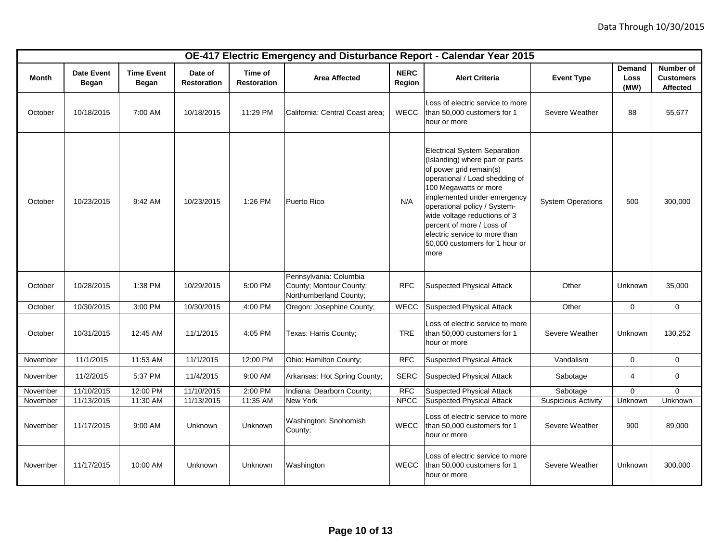|          |                            |                            |                               |                               |                                                                             |                              | OE-417 Electric Emergency and Disturbance Report - Calendar Year 2015                                                                                                                                                                                                                                                                                               |                            |                        |                                           |
|----------|----------------------------|----------------------------|-------------------------------|-------------------------------|-----------------------------------------------------------------------------|------------------------------|---------------------------------------------------------------------------------------------------------------------------------------------------------------------------------------------------------------------------------------------------------------------------------------------------------------------------------------------------------------------|----------------------------|------------------------|-------------------------------------------|
| Month    | <b>Date Event</b><br>Began | <b>Time Event</b><br>Began | Date of<br><b>Restoration</b> | Time of<br><b>Restoration</b> | <b>Area Affected</b>                                                        | <b>NERC</b><br><b>Region</b> | <b>Alert Criteria</b>                                                                                                                                                                                                                                                                                                                                               | <b>Event Type</b>          | Demand<br>Loss<br>(MW) | Number of<br><b>Customers</b><br>Affected |
| October  | 10/18/2015                 | 7:00 AM                    | 10/18/2015                    | 11:29 PM                      | California: Central Coast area;                                             | <b>WECC</b>                  | Loss of electric service to more<br>than 50,000 customers for 1<br>hour or more                                                                                                                                                                                                                                                                                     | Severe Weather             | 88                     | 55,677                                    |
| October  | 10/23/2015                 | 9:42 AM                    | 10/23/2015                    | 1:26 PM                       | Puerto Rico                                                                 | N/A                          | <b>Electrical System Separation</b><br>(Islanding) where part or parts<br>of power grid remain(s)<br>operational / Load shedding of<br>100 Megawatts or more<br>implemented under emergency<br>operational policy / System-<br>wide voltage reductions of 3<br>percent of more / Loss of<br>electric service to more than<br>50,000 customers for 1 hour or<br>more | <b>System Operations</b>   | 500                    | 300,000                                   |
| October  | 10/28/2015                 | 1:38 PM                    | 10/29/2015                    | 5:00 PM                       | Pennsylvania: Columbia<br>County; Montour County;<br>Northumberland County; | <b>RFC</b>                   | <b>Suspected Physical Attack</b>                                                                                                                                                                                                                                                                                                                                    | Other                      | Unknown                | 35,000                                    |
| October  | 10/30/2015                 | 3:00 PM                    | 10/30/2015                    | 4:00 PM                       | Oregon: Josephine County;                                                   | <b>WECC</b>                  | <b>Suspected Physical Attack</b>                                                                                                                                                                                                                                                                                                                                    | Other                      | 0                      | $\mathbf 0$                               |
| October  | 10/31/2015                 | 12:45 AM                   | 11/1/2015                     | 4:05 PM                       | Texas: Harris County;                                                       | <b>TRE</b>                   | Loss of electric service to more<br>than 50,000 customers for 1<br>hour or more                                                                                                                                                                                                                                                                                     | Severe Weather             | Unknown                | 130,252                                   |
| November | 11/1/2015                  | 11:53 AM                   | 11/1/2015                     | 12:00 PM                      | Ohio: Hamilton County;                                                      | <b>RFC</b>                   | <b>Suspected Physical Attack</b>                                                                                                                                                                                                                                                                                                                                    | Vandalism                  | 0                      | $\mathbf 0$                               |
| November | 11/2/2015                  | 5:37 PM                    | 11/4/2015                     | 9:00 AM                       | Arkansas: Hot Spring County;                                                | <b>SERC</b>                  | <b>Suspected Physical Attack</b>                                                                                                                                                                                                                                                                                                                                    | Sabotage                   | 4                      | $\mathbf 0$                               |
| November | 11/10/2015                 | 12:00 PM                   | 11/10/2015                    | 2:00 PM                       | Indiana: Dearborn County;                                                   | <b>RFC</b>                   | <b>Suspected Physical Attack</b>                                                                                                                                                                                                                                                                                                                                    | Sabotage                   | $\mathbf 0$            | $\mathbf 0$                               |
| November | 11/13/2015                 | 11:30 AM                   | 11/13/2015                    | 11:35 AM                      | New York                                                                    | <b>NPCC</b>                  | <b>Suspected Physical Attack</b>                                                                                                                                                                                                                                                                                                                                    | <b>Suspicious Activity</b> | Unknown                | Unknown                                   |
| November | 11/17/2015                 | 9:00 AM                    | Unknown                       | Unknown                       | Washington: Snohomish<br>County;                                            | <b>WECC</b>                  | Loss of electric service to more<br>than 50,000 customers for 1<br>hour or more                                                                                                                                                                                                                                                                                     | Severe Weather             | 900                    | 89,000                                    |
| November | 11/17/2015                 | 10:00 AM                   | Unknown                       | Unknown                       | Washington                                                                  | <b>WECC</b>                  | Loss of electric service to more<br>than 50,000 customers for 1<br>hour or more                                                                                                                                                                                                                                                                                     | Severe Weather             | Unknown                | 300,000                                   |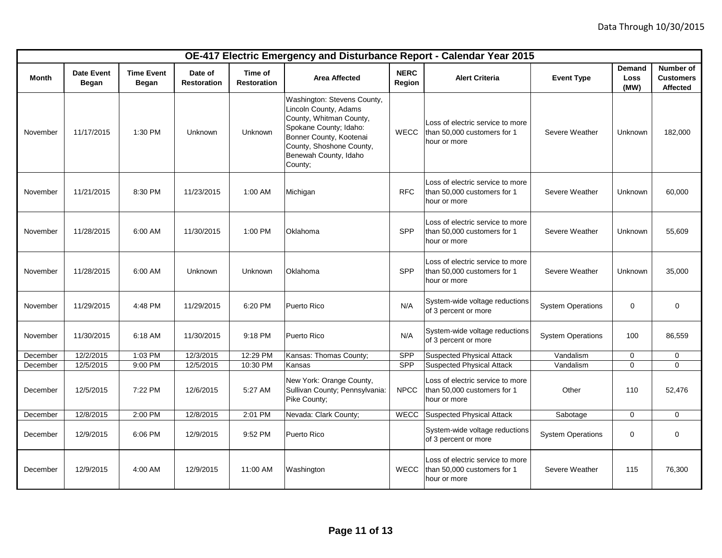|          |                                   |                                   |                               |                               |                                                                                                                                                                                                      |                       | OE-417 Electric Emergency and Disturbance Report - Calendar Year 2015           |                          |                        |                                                  |
|----------|-----------------------------------|-----------------------------------|-------------------------------|-------------------------------|------------------------------------------------------------------------------------------------------------------------------------------------------------------------------------------------------|-----------------------|---------------------------------------------------------------------------------|--------------------------|------------------------|--------------------------------------------------|
| Month    | <b>Date Event</b><br><b>Began</b> | <b>Time Event</b><br><b>Began</b> | Date of<br><b>Restoration</b> | Time of<br><b>Restoration</b> | <b>Area Affected</b>                                                                                                                                                                                 | <b>NERC</b><br>Region | <b>Alert Criteria</b>                                                           | <b>Event Type</b>        | Demand<br>Loss<br>(MW) | Number of<br><b>Customers</b><br><b>Affected</b> |
| November | 11/17/2015                        | 1:30 PM                           | Unknown                       | Unknown                       | Washington: Stevens County,<br>Lincoln County, Adams<br>County, Whitman County,<br>Spokane County; Idaho:<br>Bonner County, Kootenai<br>County, Shoshone County,<br>Benewah County, Idaho<br>County; | <b>WECC</b>           | Loss of electric service to more<br>than 50,000 customers for 1<br>hour or more | Severe Weather           | Unknown                | 182,000                                          |
| November | 11/21/2015                        | 8:30 PM                           | 11/23/2015                    | 1:00 AM                       | Michigan                                                                                                                                                                                             | <b>RFC</b>            | Loss of electric service to more<br>than 50,000 customers for 1<br>hour or more | Severe Weather           | Unknown                | 60,000                                           |
| November | 11/28/2015                        | 6:00 AM                           | 11/30/2015                    | 1:00 PM                       | Oklahoma                                                                                                                                                                                             | <b>SPP</b>            | Loss of electric service to more<br>than 50,000 customers for 1<br>hour or more | Severe Weather           | Unknown                | 55.609                                           |
| November | 11/28/2015                        | 6:00 AM                           | Unknown                       | Unknown                       | Oklahoma                                                                                                                                                                                             | SPP                   | Loss of electric service to more<br>than 50,000 customers for 1<br>hour or more | Severe Weather           | Unknown                | 35,000                                           |
| November | 11/29/2015                        | 4:48 PM                           | 11/29/2015                    | 6:20 PM                       | Puerto Rico                                                                                                                                                                                          | N/A                   | System-wide voltage reductions<br>of 3 percent or more                          | <b>System Operations</b> | $\mathbf 0$            | 0                                                |
| November | 11/30/2015                        | 6:18 AM                           | 11/30/2015                    | 9:18 PM                       | Puerto Rico                                                                                                                                                                                          | N/A                   | System-wide voltage reductions<br>of 3 percent or more                          | <b>System Operations</b> | 100                    | 86,559                                           |
| December | 12/2/2015                         | 1:03 PM                           | 12/3/2015                     | 12:29 PM                      | Kansas: Thomas County;                                                                                                                                                                               | <b>SPP</b>            | <b>Suspected Physical Attack</b>                                                | Vandalism                | 0                      | $\mathbf 0$                                      |
| December | 12/5/2015                         | 9:00 PM                           | 12/5/2015                     | 10:30 PM                      | Kansas                                                                                                                                                                                               | <b>SPP</b>            | <b>Suspected Physical Attack</b>                                                | Vandalism                | $\Omega$               | $\mathbf{0}$                                     |
| December | 12/5/2015                         | 7:22 PM                           | 12/6/2015                     | 5:27 AM                       | New York: Orange County,<br>Sullivan County; Pennsylvania:<br>Pike County;                                                                                                                           | <b>NPCC</b>           | Loss of electric service to more<br>than 50,000 customers for 1<br>hour or more | Other                    | 110                    | 52,476                                           |
| December | 12/8/2015                         | 2:00 PM                           | 12/8/2015                     | 2:01 PM                       | Nevada: Clark County;                                                                                                                                                                                | WECC                  | Suspected Physical Attack                                                       | Sabotage                 | 0                      | $\mathbf 0$                                      |
| December | 12/9/2015                         | 6:06 PM                           | 12/9/2015                     | 9:52 PM                       | Puerto Rico                                                                                                                                                                                          |                       | System-wide voltage reductions<br>of 3 percent or more                          | <b>System Operations</b> | 0                      | $\mathbf 0$                                      |
| December | 12/9/2015                         | 4:00 AM                           | 12/9/2015                     | 11:00 AM                      | Washington                                                                                                                                                                                           | <b>WECC</b>           | Loss of electric service to more<br>than 50,000 customers for 1<br>hour or more | Severe Weather           | 115                    | 76,300                                           |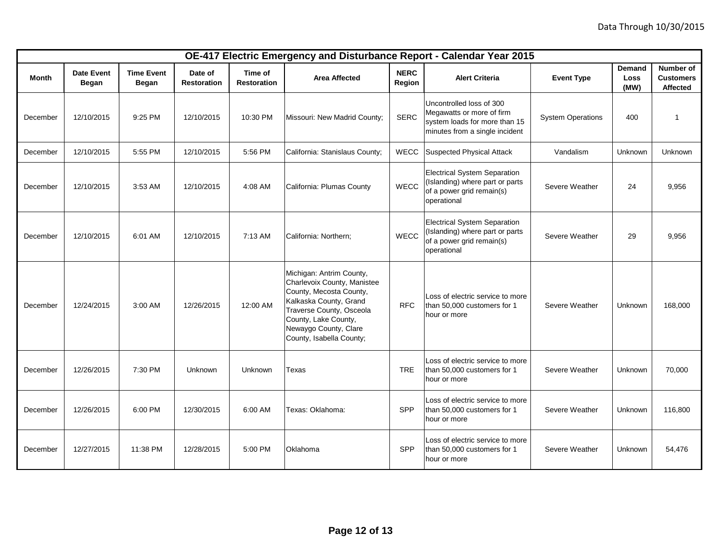|          |                                   |                                   |                               |                               |                                                                                                                                                                                                                       |                       | OE-417 Electric Emergency and Disturbance Report - Calendar Year 2015                                                    |                          |                        |                                           |
|----------|-----------------------------------|-----------------------------------|-------------------------------|-------------------------------|-----------------------------------------------------------------------------------------------------------------------------------------------------------------------------------------------------------------------|-----------------------|--------------------------------------------------------------------------------------------------------------------------|--------------------------|------------------------|-------------------------------------------|
| Month    | <b>Date Event</b><br><b>Began</b> | <b>Time Event</b><br><b>Began</b> | Date of<br><b>Restoration</b> | Time of<br><b>Restoration</b> | <b>Area Affected</b>                                                                                                                                                                                                  | <b>NERC</b><br>Region | <b>Alert Criteria</b>                                                                                                    | <b>Event Type</b>        | Demand<br>Loss<br>(MW) | Number of<br><b>Customers</b><br>Affected |
| December | 12/10/2015                        | 9:25 PM                           | 12/10/2015                    | 10:30 PM                      | Missouri: New Madrid County;                                                                                                                                                                                          | <b>SERC</b>           | Uncontrolled loss of 300<br>Megawatts or more of firm<br>system loads for more than 15<br>minutes from a single incident | <b>System Operations</b> | 400                    | $\mathbf{1}$                              |
| December | 12/10/2015                        | 5:55 PM                           | 12/10/2015                    | 5:56 PM                       | California: Stanislaus County;                                                                                                                                                                                        | WECC                  | <b>Suspected Physical Attack</b>                                                                                         | Vandalism                | Unknown                | Unknown                                   |
| December | 12/10/2015                        | 3:53 AM                           | 12/10/2015                    | 4:08 AM                       | California: Plumas County                                                                                                                                                                                             | WECC                  | <b>Electrical System Separation</b><br>(Islanding) where part or parts<br>of a power grid remain(s)<br>operational       | Severe Weather           | 24                     | 9,956                                     |
| December | 12/10/2015                        | 6:01 AM                           | 12/10/2015                    | 7:13 AM                       | California: Northern;                                                                                                                                                                                                 | <b>WECC</b>           | <b>Electrical System Separation</b><br>(Islanding) where part or parts<br>of a power grid remain(s)<br>operational       | Severe Weather           | 29                     | 9,956                                     |
| December | 12/24/2015                        | 3:00 AM                           | 12/26/2015                    | 12:00 AM                      | Michigan: Antrim County,<br>Charlevoix County, Manistee<br>County, Mecosta County,<br>Kalkaska County, Grand<br>Traverse County, Osceola<br>County, Lake County,<br>Newaygo County, Clare<br>County, Isabella County; | <b>RFC</b>            | Loss of electric service to more<br>than 50,000 customers for 1<br>hour or more                                          | Severe Weather           | Unknown                | 168,000                                   |
| December | 12/26/2015                        | 7:30 PM                           | Unknown                       | Unknown                       | Texas                                                                                                                                                                                                                 | <b>TRE</b>            | Loss of electric service to more<br>than 50,000 customers for 1<br>hour or more                                          | Severe Weather           | Unknown                | 70,000                                    |
| December | 12/26/2015                        | 6:00 PM                           | 12/30/2015                    | 6:00 AM                       | Texas: Oklahoma:                                                                                                                                                                                                      | SPP                   | Loss of electric service to more<br>than 50,000 customers for 1<br>hour or more                                          | Severe Weather           | Unknown                | 116,800                                   |
| December | 12/27/2015                        | 11:38 PM                          | 12/28/2015                    | 5:00 PM                       | Oklahoma                                                                                                                                                                                                              | SPP                   | Loss of electric service to more<br>than 50,000 customers for 1<br>hour or more                                          | Severe Weather           | Unknown                | 54,476                                    |